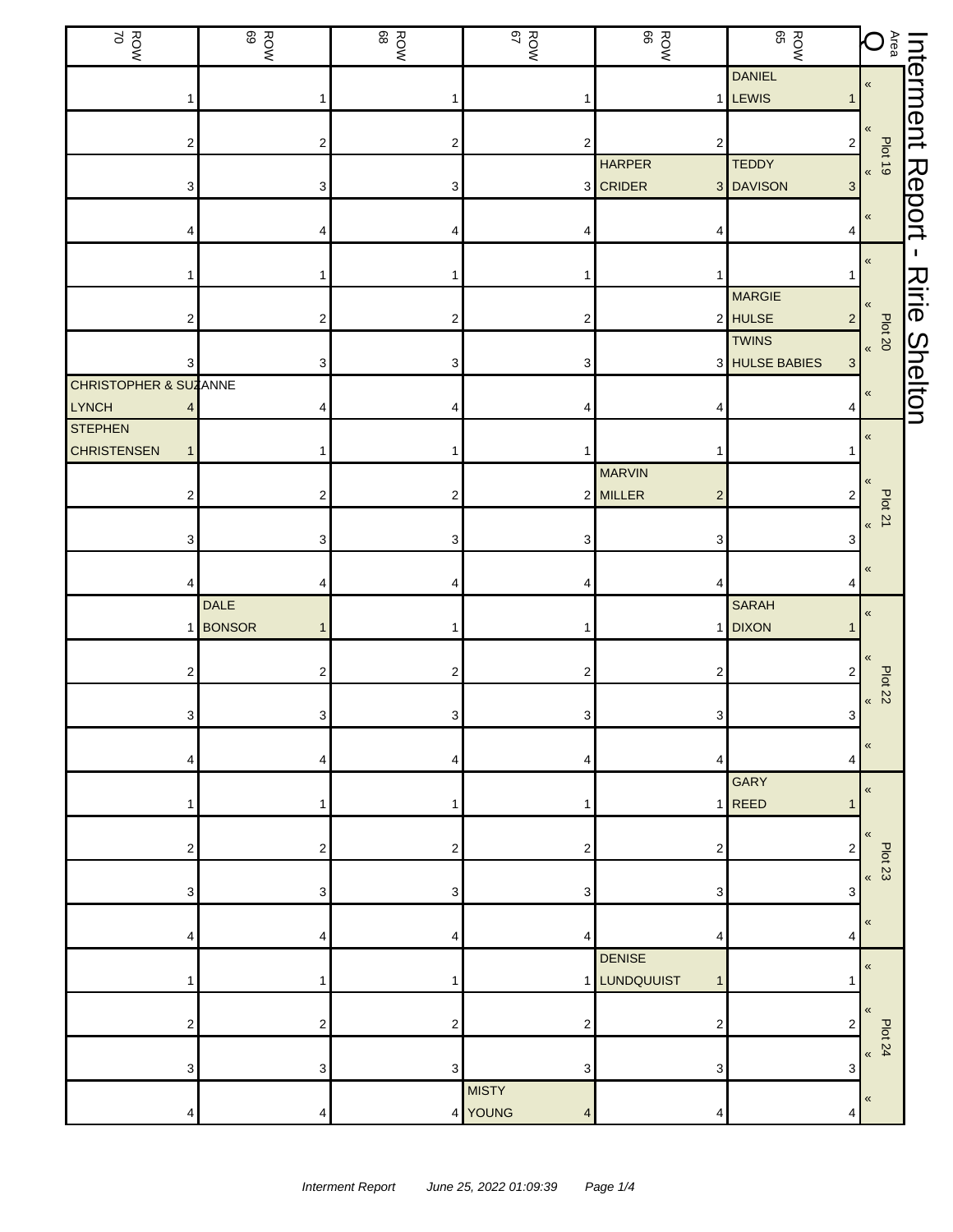| ROW<br>NOW                            | <b>ROW</b>                    | ROW<br>ROW     | ROW<br>ROW                   | ROW<br>ROW                                    | ROW<br>BOW                         | $\bigoplus_{\widetilde{a}} \mathbf{Q}$          |                |
|---------------------------------------|-------------------------------|----------------|------------------------------|-----------------------------------------------|------------------------------------|-------------------------------------------------|----------------|
|                                       | 1                             |                |                              |                                               | <b>DANIEL</b><br>1 LEWIS           | $\pmb{\ll}$                                     | Interment      |
| 2                                     | $\overline{\mathbf{c}}$       | 2              | 2                            | $\overline{\mathbf{c}}$                       | $\overline{c}$                     | «                                               |                |
| 3                                     | 3                             | 3              |                              | <b>HARPER</b><br>3 CRIDER                     | <b>TEDDY</b><br>3 DAVISON<br>3     | $\frac{100 \text{ to } 10}{\text{ to } 100}$    |                |
|                                       | 4                             | 4              |                              | 4                                             | 4                                  | $\pmb{\kappa}$                                  | Report         |
|                                       |                               | 1              |                              | 1                                             | 1                                  | $\pmb{\ll}$                                     | п.             |
|                                       |                               |                |                              |                                               | <b>MARGIE</b>                      | «                                               | Ririe          |
| 2                                     | $\overline{\mathbf{c}}$       | 2              | 2                            |                                               | 2 HULSE<br>$\overline{2}$<br>TWINS | Plat 20                                         |                |
| 3<br><b>CHRISTOPHER &amp; SUZANNE</b> | 3                             | 3              | 3                            |                                               | 3 HULSE BABIES<br>3                | $\pmb{\ll}$                                     | <b>Shelton</b> |
| LYNCH<br><b>STEPHEN</b>               | 4                             | 4              |                              | 4                                             | 4                                  | $\pmb{\ll}$                                     |                |
| <b>CHRISTENSEN</b>                    |                               |                |                              | 1<br><b>MARVIN</b>                            |                                    | «                                               |                |
| 2                                     | $\overline{\mathbf{c}}$       | $\overline{c}$ |                              | 2 MILLER<br>$\overline{\mathbf{c}}$           | 2                                  | <b>Plot 21</b><br>$\pmb{\kappa}$                |                |
| З                                     | 3                             | 3              |                              | 3                                             | 3                                  |                                                 |                |
|                                       | 4<br><b>DALE</b>              | 4              |                              | 4                                             | 4<br><b>SARAH</b>                  | $\pmb{\ll}$                                     |                |
|                                       | <b>BONSOR</b><br>$\mathbf{1}$ | 1              |                              |                                               | 1 DIXON                            | $\pmb{\ll}$                                     |                |
| 2                                     | 2                             | 2              | 2                            | 2                                             | 2                                  | $\pmb{\langle} \pmb{\langle}$<br>Plot 22        |                |
| 3                                     | 3                             | 3 <sup>1</sup> | 3                            | 3 <sup>1</sup>                                | $\mathbf{3}$                       | $\pmb{\kappa}$                                  |                |
|                                       | 4                             | 4              | 4                            | 4                                             | 4                                  | $\,\,\ll$                                       |                |
|                                       | 1                             | 1              |                              |                                               | <b>GARY</b><br>$1$ REED<br>1       | $\pmb{\langle} \pmb{\langle}$                   |                |
| 2                                     | 2                             | 2              | 2                            | 2                                             | 2                                  | $\pmb{\langle} \pmb{\langle}$<br><b>Plot 23</b> |                |
| 3                                     | 3                             | 3              | 3                            | 3                                             | 3                                  | $\pmb{\kappa}$                                  |                |
|                                       | 4                             | 4              | 4                            | 4                                             | 4                                  | $\,\,\ll$                                       |                |
|                                       | 1                             | 1              |                              | <b>DENISE</b><br>1 LUNDQUUIST<br>$\mathbf{1}$ |                                    | $\pmb{\ll}$                                     |                |
| 2                                     | $\overline{\mathbf{c}}$       | $\overline{c}$ | 2                            | 2                                             | $\overline{2}$                     | $\pmb{\langle} \pmb{\langle}$                   |                |
| 3                                     | 3                             | 3              | 3                            | 3                                             | 3                                  | <b>Plot 24</b><br>$\pmb{\kappa}$                |                |
| 4                                     | 4                             |                | <b>MISTY</b><br>4 YOUNG<br>4 | 4                                             | 4                                  | $\pmb{\ll}$                                     |                |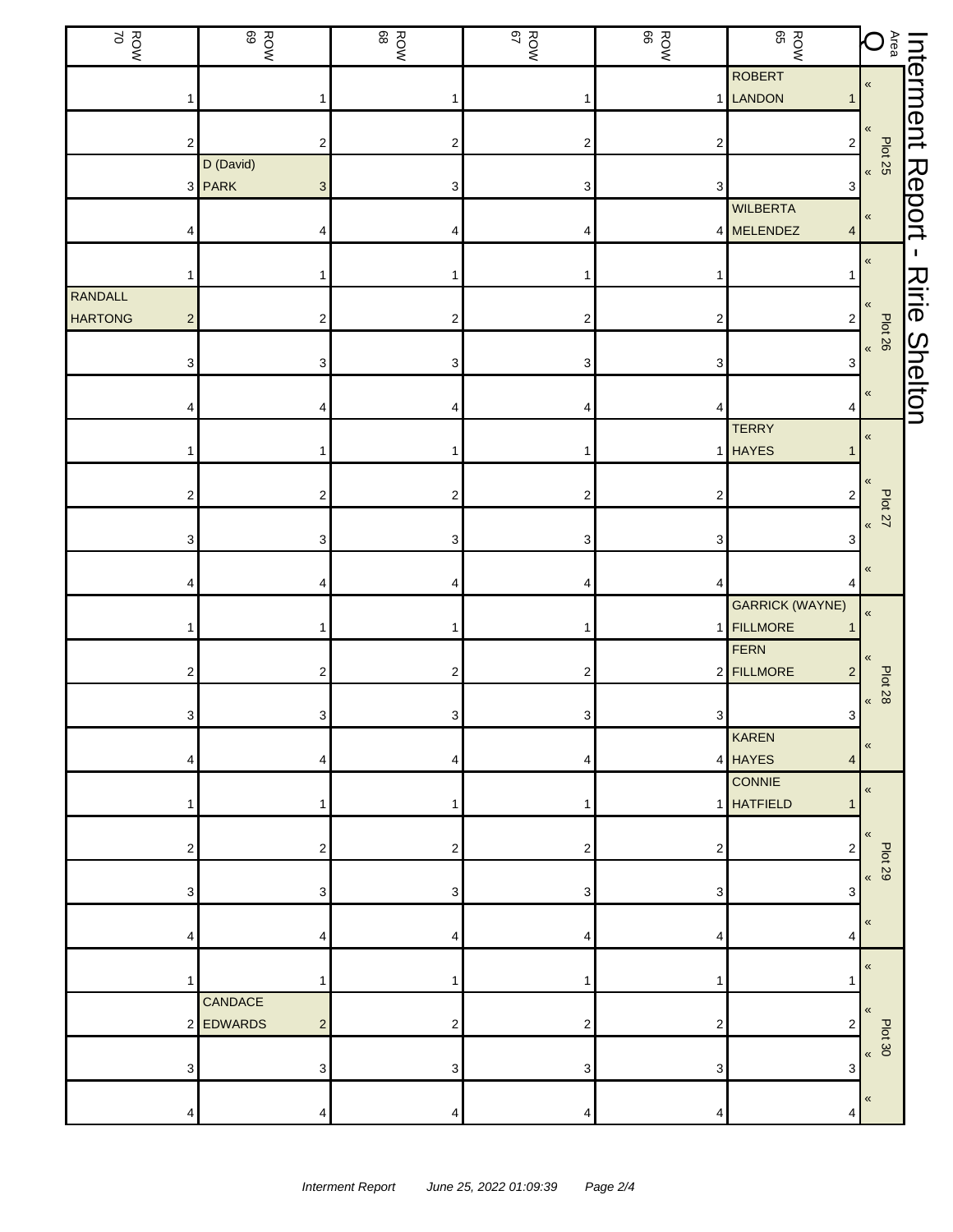| ROW<br>ROW                | ROW<br>ROW              |                           | ROW<br>ROW     | ROW<br>NOW              |                         | ROW<br>BOW                          |                                                    |                      |
|---------------------------|-------------------------|---------------------------|----------------|-------------------------|-------------------------|-------------------------------------|----------------------------------------------------|----------------------|
|                           |                         |                           |                |                         |                         | ROBERT<br>1 LANDON                  | <b>Literment</b><br><b>Nation</b><br><b>Nation</b> |                      |
|                           | 2                       | $\overline{\mathbf{c}}$   | 2              | $\overline{\mathbf{c}}$ | $\overline{\mathbf{c}}$ | $2\vert$                            |                                                    |                      |
|                           | D (David)<br>3 PARK     | $\ensuremath{\mathsf{3}}$ | 3              | 3                       | 3                       | 3                                   | Plot 25<br>$\pmb{\mathfrak{C}}$                    |                      |
|                           |                         | 4                         |                |                         |                         | <b>WILBERTA</b><br>4 MELENDEZ<br>4  | «                                                  | <b>Report</b>        |
|                           |                         |                           |                | 1                       |                         |                                     | $\pmb{\kappa}$                                     | $\mathbf I$          |
| RANDALL<br><b>HARTONG</b> | $\overline{\mathbf{c}}$ | $\overline{\mathbf{c}}$   | 2              | 2                       | $\overline{\mathbf{c}}$ | $\overline{2}$                      | «                                                  |                      |
|                           |                         |                           |                |                         |                         |                                     | <b>Plot 26</b><br>$\pmb{\kappa}$                   |                      |
|                           | 3                       | 3                         | 3              | 3                       | 3                       | 3                                   | «                                                  | <b>Ririe Shelton</b> |
|                           |                         | 4                         | 4              |                         | 4                       | 4<br><b>TERRY</b>                   | «                                                  |                      |
|                           |                         |                           |                |                         |                         | 1 HAYES                             |                                                    |                      |
|                           | 2                       | $\mathbf 2$               | 2              | 2                       | $\overline{2}$          | $\sqrt{2}$                          | Plot 27<br>$\pmb{\ll}$                             |                      |
|                           | 3                       | 3                         | 3              | 3                       | 3                       | 3                                   | «                                                  |                      |
|                           |                         | 4                         | 4              | 4                       | 4                       | <b>GARRICK (WAYNE)</b>              | $\pmb{\kappa}$                                     |                      |
|                           |                         |                           |                | 1                       |                         | 1 FILLMORE<br>FERN                  | «                                                  |                      |
|                           | 2                       | 2                         | $\overline{c}$ | 2                       |                         | 2 FILLMORE<br>$\overline{2}$        | <b>Plot 28</b><br>$\pmb{\kappa}$                   |                      |
|                           | 3                       | 3                         | 3 <sup>1</sup> | 3 <sup>1</sup>          | 3 <sup>1</sup>          | $\overline{3}$<br><b>KAREN</b>      | «                                                  |                      |
|                           |                         | 4                         | 4              | 4                       |                         | 4 HAYES<br>$\overline{4}$<br>CONNIE | $\pmb{\ll}$                                        |                      |
|                           |                         |                           |                | 1                       |                         | 1 HATFIELD<br>1                     |                                                    |                      |
|                           | 2                       | 2                         | 2              | 2                       | 2                       | 2                                   | <b>Plot 29</b><br>$\pmb{\mathcal{R}}$              |                      |
|                           | 3                       | 3                         | 3              | 3                       | 3                       | 3                                   | $\ll$                                              |                      |
|                           |                         | 4                         | 4              | 4                       |                         | 4                                   | $\pmb{\ll}$                                        |                      |
|                           | CANDACE                 | 1                         |                | 1                       |                         |                                     | $\pmb{\langle} \pmb{\langle}$                      |                      |
|                           | <b>EDWARDS</b><br>2     | $\overline{c}$            | 2              | 2                       | $\overline{\mathbf{c}}$ | 2                                   | Plot 30<br>$\pmb{\mathcal{R}}$                     |                      |
|                           | 3                       | 3                         | 3              | 3                       | 3                       | 3                                   |                                                    |                      |
|                           | 4                       | 4                         | 4              | 4                       | 4                       | 4                                   | «                                                  |                      |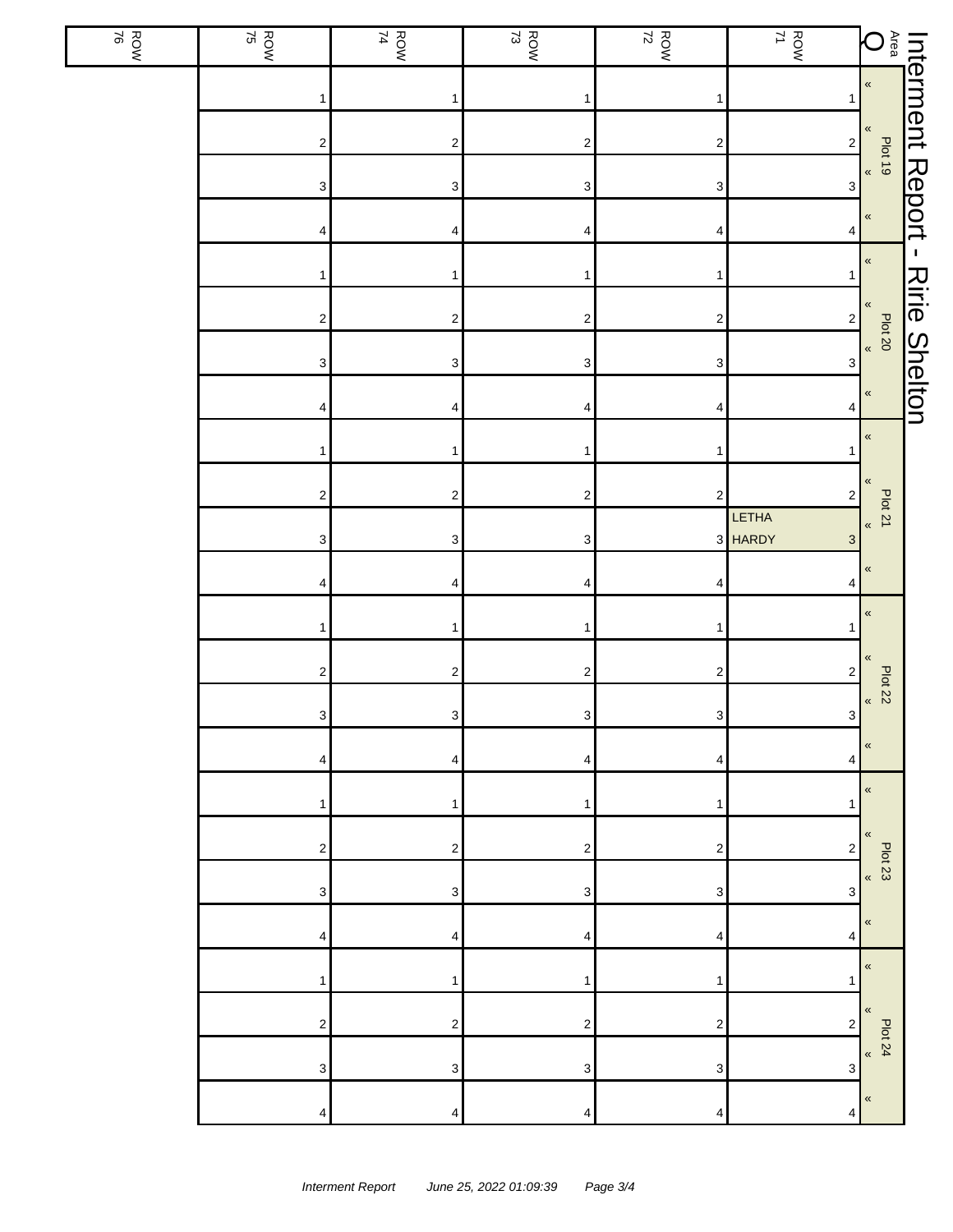| ROW<br>ROW | $\frac{ROW}{75}$          | ROW<br>ROW                | $\frac{ROW}{73}$        | $\frac{ROW}{72}$          | ROW<br>71                                     |                        |                      |
|------------|---------------------------|---------------------------|-------------------------|---------------------------|-----------------------------------------------|------------------------|----------------------|
|            | 1                         | 1                         | 1                       | 1                         |                                               |                        |                      |
|            | $\sqrt{2}$                | $\overline{\mathbf{c}}$   | $\sqrt{2}$              | $\overline{\mathbf{c}}$   | $\mathbf 2$                                   |                        |                      |
|            | $\ensuremath{\mathsf{3}}$ | $\mathbf{3}$              | $\sqrt{3}$              | $\ensuremath{\mathsf{3}}$ | 3                                             |                        |                      |
|            | 4                         | 4                         | 4                       | 4                         | 4                                             |                        |                      |
|            | 1                         | 1                         | $\mathbf{1}$            | 1                         |                                               | $\pmb{\kappa}$         |                      |
|            | $\sqrt{2}$                | $\overline{\mathbf{c}}$   | $\sqrt{2}$              | $\overline{\mathbf{c}}$   | $\mathbf 2$                                   | $\pmb{\ll}$<br>Plot 20 | <b>Ririe Shelton</b> |
|            | $\ensuremath{\mathsf{3}}$ | $\ensuremath{\mathsf{3}}$ | $\sqrt{3}$              | $\ensuremath{\mathsf{3}}$ | $\ensuremath{\mathsf{3}}$                     | $\pmb{\kappa}$         |                      |
|            | 4                         | 4                         | 4                       | 4                         | 4                                             | $\pmb{\ll}$            |                      |
|            | 1                         | 1                         | $\mathbf{1}$            | 1                         |                                               | $\pmb{\alpha}$         |                      |
|            | $\sqrt{2}$                | $\mathbf{2}$              | $\sqrt{2}$              | $\sqrt{2}$                | $\mathbf 2$                                   | «<br>Plot 21           |                      |
|            | 3                         | 3                         | $\sqrt{3}$              |                           | LETHA<br>3 HARDY<br>$\ensuremath{\mathsf{3}}$ | $\pmb{\ll}$            |                      |
|            | 4                         | 4                         | 4                       | 4                         | 4                                             | $\pmb{\ll}$            |                      |
|            | 1                         | 1                         | $\mathbf 1$             | 1                         |                                               | $\pmb{\ll}$            |                      |
|            | $\sqrt{2}$                | $\mathbf{2}$              | $\mathbf{2}$            | $\boldsymbol{2}$          | $\overline{\mathbf{c}}$                       | «<br>Plot 22           |                      |
|            | $\mathbf{3}$              | 3                         | $\mathbf{3}$            | $\mathbf{3}$              | 3                                             | $\pmb{\kappa}$         |                      |
|            | 4                         | 4                         | 4                       | 4                         | 4                                             | «                      |                      |
|            | 1                         | 1                         | 1                       | 1                         | 1                                             | $\pmb{\ll}$            |                      |
|            | 2                         | 2                         | $\overline{\mathbf{c}}$ | 2                         | 2                                             | «<br>Plot 23           |                      |
|            | 3                         | 3                         | 3                       | 3                         | 3                                             | $\pmb{\kappa}$         |                      |
|            | 4                         | 4                         | 4                       | 4                         | 4                                             | $\pmb{\ll}$            |                      |
|            | 1                         | 1                         | $\mathbf 1$             | 1                         | 1                                             | $\pmb{\mathfrak{C}}$   |                      |
|            | $\boldsymbol{2}$          | $\overline{\mathbf{c}}$   | $\overline{c}$          | 2                         | $\boldsymbol{2}$                              | «<br><b>Plot 24</b>    |                      |
|            | $\ensuremath{\mathsf{3}}$ | 3                         | 3                       | 3                         | 3                                             | $\pmb{\mathfrak{C}}$   |                      |
|            | 4                         | 4                         | 4                       | 4                         | 4                                             | «                      |                      |

 $\overline{\mathbb{L}}$